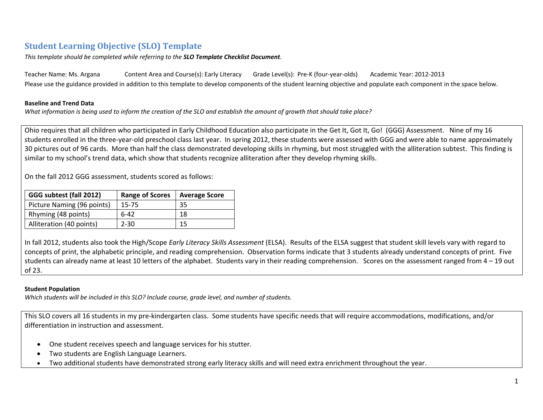# **Student Learning Objective (SLO) Template**

*This template should be completed while referring to the SLO Template Checklist Document.*

Teacher Name: Ms. Argana Content Area and Course(s): Early Literacy Grade Level(s): Pre‐K (four‐year‐olds) Academic Year: 2012‐2013 Please use the guidance provided in addition to this template to develop components of the student learning objective and populate each component in the space below.

## **Baseline and Trend Data**

What information is being used to inform the creation of the SLO and establish the amount of growth that should take place?

Ohio requires that all children who participated in Early Childhood Education also participate in the Get It, Got It, Go! (GGG) Assessment. Nine of my 16 students enrolled in the three‐year‐old preschool class last year. In spring 2012, these students were assessed with GGG and were able to name approximately 30 pictures out of 96 cards. More than half the class demonstrated developing skills in rhyming, but most struggled with the alliteration subtest. This finding is similar to my school's trend data, which show that students recognize alliteration after they develop rhyming skills.

On the fall 2012 GGG assessment, students scored as follows:

| GGG subtest (fall 2012)    | <b>Range of Scores</b> | <b>Average Score</b> |
|----------------------------|------------------------|----------------------|
| Picture Naming (96 points) | $15 - 75$              | 35                   |
| Rhyming (48 points)        | $6 - 42$               | 18                   |
| Alliteration (40 points)   | $2 - 30$               | 15                   |

In fall 2012, students also took the High/Scope *Early Literacy Skills Assessment* (ELSA). Results of the ELSA suggest that student skill levels vary with regard to concepts of print, the alphabetic principle, and reading comprehension. Observation forms indicate that 3 students already understand concepts of print. Five students can already name at least 10 letters of the alphabet. Students vary in their reading comprehension. Scores on the assessment ranged from 4 – 19 out of 23.

# **Student Population**

*Which students will be included in this SLO? Include course, grade level, and number of students.*

This SLO covers all 16 students in my pre‐kindergarten class. Some students have specific needs that will require accommodations, modifications, and/or differentiation in instruction and assessment.

- 0 One student receives speech and language services for his stutter.
- 0 Two students are English Language Learners.
- c Two additional students have demonstrated strong early literacy skills and will need extra enrichment throughout the year.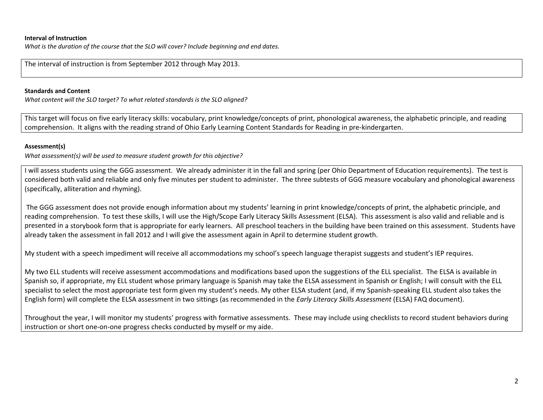#### **Interval of Instruction**

*What is the duration of the course that the SLO will cover? Include beginning and end dates.*

The interval of instruction is from September 2012 through May 2013.

#### **Standards and Content**

*What content will the SLO target? To what related standards is the SLO aligned?*

This target will focus on five early literacy skills: vocabulary, print knowledge/concepts of print, phonological awareness, the alphabetic principle, and reading comprehension. It aligns with the reading strand of Ohio Early Learning Content Standards for Reading in pre‐kindergarten.

### **Assessment(s)**

*What assessment(s) will be used to measure student growth for this objective?*

I will assess students using the GGG assessment. We already administer it in the fall and spring (per Ohio Department of Education requirements). The test is considered both valid and reliable and only five minutes per student to administer. The three subtests of GGG measure vocabulary and phonological awareness (specifically, alliteration and rhyming).

The GGG assessment does not provide enough information about my students' learning in print knowledge/concepts of print, the alphabetic principle, and reading comprehension. To test these skills, I will use the High/Scope Early Literacy Skills Assessment (ELSA). This assessment is also valid and reliable and is presented in <sup>a</sup> storybook form that is appropriate for early learners. All preschool teachers in the building have been trained on this assessment. Students have already taken the assessment in fall 2012 and I will give the assessment again in April to determine student growth.

My student with <sup>a</sup> speech impediment will receive all accommodations my school's speech language therapist suggests and student's IEP requires.

My two ELL students will receive assessment accommodations and modifications based upon the suggestions of the ELL specialist. The ELSA is available in Spanish so, if appropriate, my ELL student whose primary language is Spanish may take the ELSA assessment in Spanish or English; I will consult with the ELL specialist to select the most appropriate test form given my student's needs. My other ELSA student (and, if my Spanish-speaking ELL student also takes the English form) will complete the ELSA assessment in two sittings (as recommended in the *Early Literacy Skills Assessment* (ELSA) FAQ document).

Throughout the year, I will monitor my students' progress with formative assessments. These may include using checklists to record student behaviors during instruction or short one‐on‐one progress checks conducted by myself or my aide.